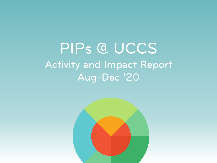PIPs @ UCCS Activity and Impact Report Aug-Dec '20

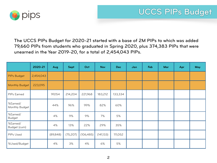

The UCCS PIPs Budget for 2020-21 started with a base of 2M PIPs to which was added 79,660 PIPs from students who graduated in Spring 2020, plus 374,383 PIPs that were unearned in the Year 2019-20, for a total of 2,454,043 PIPs.

|                            | 2020-21   | Aug       | <b>Sept</b> | Oct        | <b>Nov</b> | <b>Dec</b> | Jan | Feb | Mar | Apr | <b>May</b> |
|----------------------------|-----------|-----------|-------------|------------|------------|------------|-----|-----|-----|-----|------------|
| PIPs Budget                | 2,454,043 |           |             |            |            |            |     |     |     |     |            |
| <b>Monthly Budget</b>      | 223,095   |           |             |            |            |            |     |     |     |     |            |
| PIPs Earned                |           | 99,154    | 214,204     | 221,968    | 183,212    | 133,334    |     |     |     |     |            |
| %Earned/<br>Monthly Budget |           | 44%       | 96%         | 99%        | 82%        | 60%        |     |     |     |     |            |
| %Earned/<br><b>Budget</b>  |           | 4%        | 9%          | 9%         | 7%         | 5%         |     |     |     |     |            |
| %Earned/<br>Budget (cum)   |           | 4%        | 13%         | 22%        | 29%        | 35%        |     |     |     |     |            |
| PIPs Used                  |           | (89, 848) | (75, 207)   | (106, 485) | (141, 133) | 111,052    |     |     |     |     |            |
| %Used/Budget               |           | 4%        | 3%          | 4%         | 6%         | 5%         |     |     |     |     |            |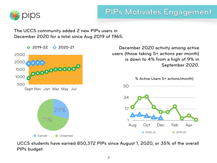

## PIPs Motivates Engagement

The UCCS community added 2 new PIPs users in December 2020 for a total since Aug 2019 of 1965.



UCCS students have earned 850,372 PIPs since August 1, 2020, or 35% of the overall PIPs budget.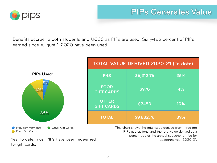

## PIPs Generates Value

Benefits accrue to both students and UCCS as PIPs are used. Sixty-two percent of PIPs earned since August 1, 2020 have been used.



Year to date, most PIPs have been redeemed for gift cards.

PIPs use options, and the total value derived as a percentage of the annual subscription fee for academic year 2020-21.